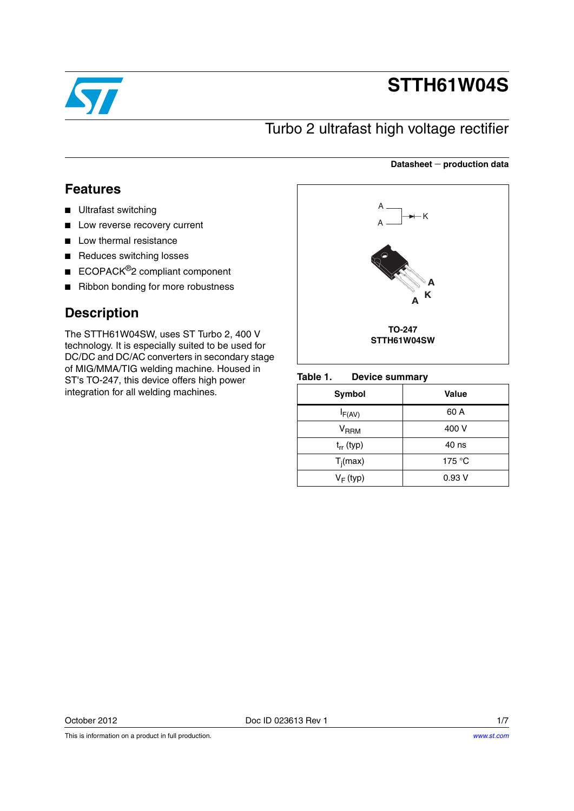

# **STTH61W04S**

## Turbo 2 ultrafast high voltage rectifier

### **Datasheet production data**

### **Features**

- Ultrafast switching
- Low reverse recovery current
- Low thermal resistance
- Reduces switching losses
- ECOPACK<sup>®</sup>2 compliant component
- Ribbon bonding for more robustness

### **Description**

The STTH61W04SW, uses ST Turbo 2, 400 V technology. It is especially suited to be used for DC/DC and DC/AC converters in secondary stage of MIG/MMA/TIG welding machine. Housed in ST's TO-247, this device offers high power integration for all welding machines.



#### Table 1. **Device summary**

| Symbol                    | <b>Value</b>    |
|---------------------------|-----------------|
| $I_{F(AV)}$               | 60 A            |
| $\mathsf{V}_\mathsf{RRM}$ | 400 V           |
| $t_{rr}$ (typ)            | 40 ns           |
| $T_i(max)$                | 175 $\degree$ C |
| $V_F$ (typ)               | 0.93V           |

This is information on a product in full production.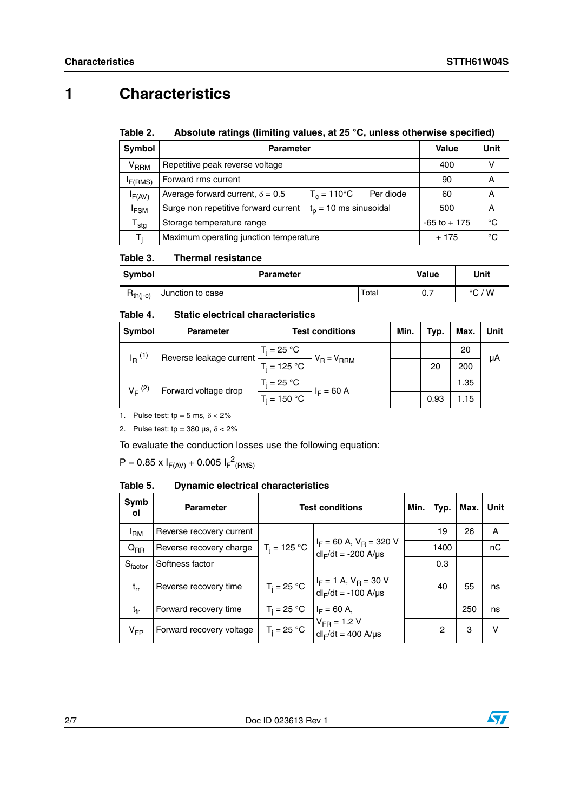## **1 Characteristics**

#### Table 2. Absolute ratings (limiting values, at 25 °C, unless otherwise specified)

| <b>Symbol</b>               | <b>Parameter</b>                        | Value           | Unit   |    |
|-----------------------------|-----------------------------------------|-----------------|--------|----|
| $\rm{V}_{\rm{RRM}}$         | Repetitive peak reverse voltage         | 400             |        |    |
| F(RMS)                      | Forward rms current                     | 90              | A      |    |
| $I_{F(AV)}$                 | Average forward current, $\delta = 0.5$ | Per diode       | 60     | А  |
| <sup>I</sup> FSM            | Surge non repetitive forward current    | 500             | А      |    |
| $\mathsf{r}_{\mathsf{stg}}$ | Storage temperature range               | $-65$ to $+175$ | °C     |    |
| T.                          | Maximum operating junction temperature  |                 | $+175$ | °C |

#### Table 3. **Thermal resistance**

| Svmbol        | <b>Parameter</b> | Value | Unit |                 |
|---------------|------------------|-------|------|-----------------|
| $R_{th(j-c)}$ | Junction to case | Total | 0.7  | $\degree$ C / W |

#### Table 4. **Static electrical characteristics**

| Symbol                              | <b>Parameter</b>        | <b>Test conditions</b> |                 | Min. | Typ. | Max. | Unit |
|-------------------------------------|-------------------------|------------------------|-----------------|------|------|------|------|
| $I_{\rm R}$ (1)                     | Reverse leakage current | $T_i = 25 °C$          | $V_R = V_{RRM}$ |      |      | 20   | μA   |
|                                     |                         | $T_i = 125 °C$         |                 |      | 20   | 200  |      |
| $V_F^{(2)}$<br>Forward voltage drop | $T_i = 25 °C$           |                        |                 |      | 1.35 |      |      |
|                                     |                         | $T_i = 150 °C$         | $I_F = 60 A$    |      | 0.93 | 1.15 |      |

1. Pulse test:  $tp = 5$  ms,  $\delta < 2\%$ 

2. Pulse test: tp =  $380 \,\mu s$ ,  $\delta < 2\%$ 

To evaluate the conduction losses use the following equation:

 $P = 0.85 \times I_{F(AV)} + 0.005 I_{F}^{2}$ <sub>(RMS)</sub>

#### Table 5. **Dynamic electrical characteristics**

| Symb<br>οl          | <b>Parameter</b>         | <b>Test conditions</b> |                                                            |  | Typ. | Max. | Unit |
|---------------------|--------------------------|------------------------|------------------------------------------------------------|--|------|------|------|
| <sup>I</sup> RM     | Reverse recovery current |                        |                                                            |  | 19   | 26   | Α    |
| $Q_{\mathsf{RR}}$   | Reverse recovery charge  | $T_i = 125 °C$         | $I_F = 60$ A, $V_R = 320$ V<br>$dl_F/dt = -200$ A/ $\mu s$ |  | 1400 |      | nC   |
| $S_{\text{factor}}$ | Softness factor          |                        |                                                            |  | 0.3  |      |      |
| $t_{rr}$            | Reverse recovery time    | $T_i = 25 °C$          | $I_F = 1 A$ , $V_R = 30 V$<br>$dl_F/dt = -100$ A/ $\mu s$  |  | 40   | 55   | ns   |
| $t_{fr}$            | Forward recovery time    | $T_i = 25 °C$          | $I_F = 60$ A,                                              |  |      | 250  | ns   |
| $V_{FP}$            | Forward recovery voltage | $T_i = 25 °C$          | $V_{FR}$ = 1.2 V<br>$dl_F/dt = 400$ A/ $\mu$ s             |  | 2    | 3    | v    |

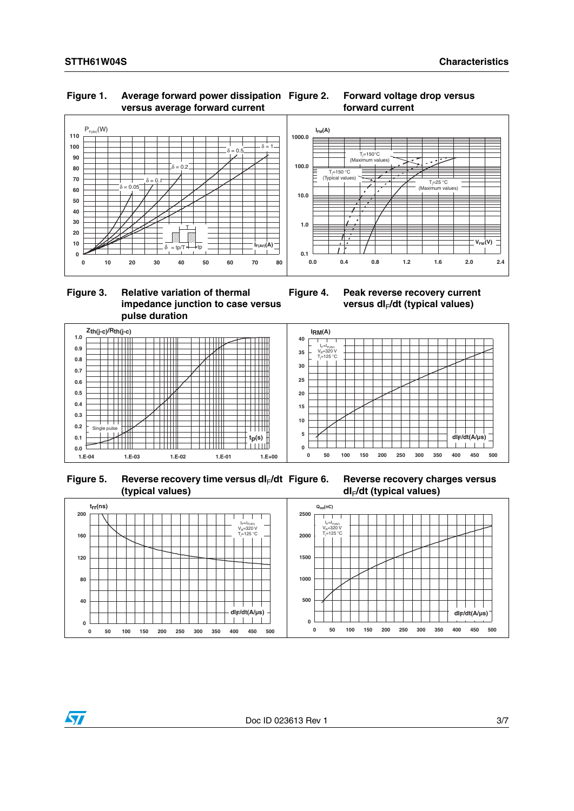### **Figure 1. Average forward power dissipation versus average forward current**





### **Figure 3. Relative variation of thermal impedance junction to case versus pulse duration**









**Figure 6. Reverse recovery charges versus dI**F**/dt (typical values)**

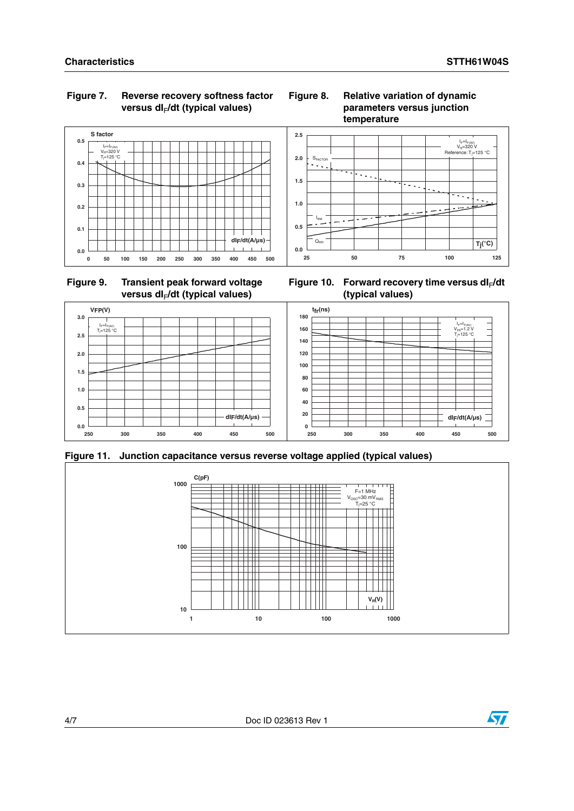### **Figure 7. Reverse recovery softness factor**  versus dl<sub>F</sub>/dt (typical values)















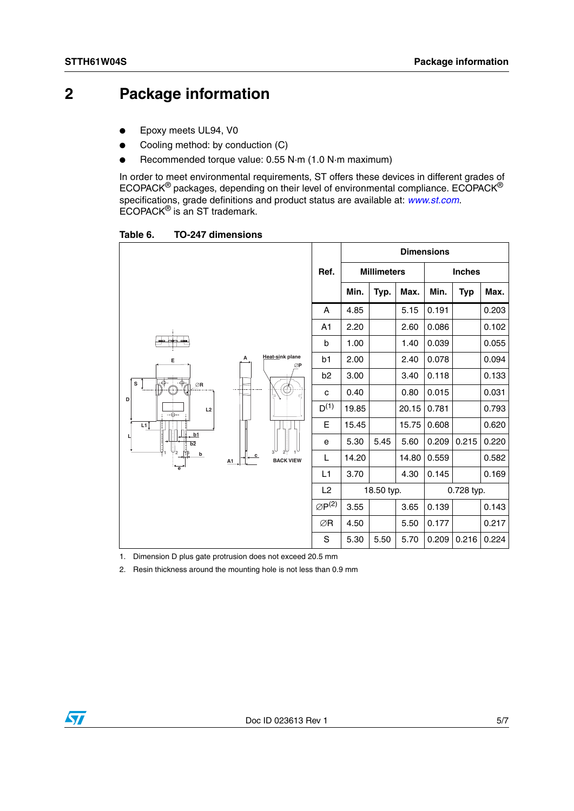## **2 Package information**

- Epoxy meets UL94, V0
- Cooling method: by conduction (C)
- Recommended torque value: 0.55 N·m (1.0 N·m maximum)

In order to meet environmental requirements, ST offers these devices in different grades of ECOPACK® packages, depending on their level of environmental compliance. ECOPACK® specifications, grade definitions and product status are available at: *[www.st.com](http://www.st.com).* ECOPACK® is an ST trademark.

Table 6. **Table 6. TO-247 dimensions**

|                                                                             |    |                                                                    |                       |                |      |            | <b>Dimensions</b> |                    |            |               |  |  |
|-----------------------------------------------------------------------------|----|--------------------------------------------------------------------|-----------------------|----------------|------|------------|-------------------|--------------------|------------|---------------|--|--|
|                                                                             |    |                                                                    |                       |                |      | Ref.       |                   | <b>Millimeters</b> |            | <b>Inches</b> |  |  |
|                                                                             |    |                                                                    |                       | Min.           | Typ. | Max.       | Min.              | <b>Typ</b>         | Max.       |               |  |  |
|                                                                             |    |                                                                    | Α                     | 4.85           |      | 5.15       | 0.191             |                    | 0.203      |               |  |  |
|                                                                             |    |                                                                    | A1                    | 2.20           |      | 2.60       | 0.086             |                    | 0.102      |               |  |  |
| ┿┥<br>≞                                                                     |    |                                                                    | b                     | 1.00           |      | 1.40       | 0.039             |                    | 0.055      |               |  |  |
| Е<br>$\overline{\mathbb{P}}$<br>$\overline{\Phi}_{\hbox{\small{eff}}}$<br>s | А  | Heat-sink plane<br>ØP<br>늫<br>ц<br>$\mathbf c$<br><b>BACK VIEW</b> | b1                    | 2.00           |      | 2.40       | 0.078             |                    | 0.094      |               |  |  |
|                                                                             |    |                                                                    | b2                    | 3.00           |      | 3.40       | 0.118             |                    | 0.133      |               |  |  |
| $\oslash$ R<br>Æ<br>D                                                       |    |                                                                    | C                     | 0.40           |      | 0.80       | 0.015             |                    | 0.031      |               |  |  |
| L2<br>$-\bigoplus$ --                                                       |    |                                                                    | $D^{(1)}$             | 19.85          |      | 20.15      | 0.781             |                    | 0.793      |               |  |  |
| L1                                                                          |    |                                                                    | Е                     | 15.45          |      | 15.75      | 0.608             |                    | 0.620      |               |  |  |
| b1<br>Ц<br>$\overline{b2}$                                                  |    |                                                                    | е                     | 5.30           | 5.45 | 5.60       | 0.209             | 0.215              | 0.220      |               |  |  |
| $\mathbb{U}_2$<br>b                                                         | A1 |                                                                    | L                     | 14.20          |      | 14.80      | 0.559             |                    | 0.582      |               |  |  |
|                                                                             |    |                                                                    | L1                    | 3.70           |      | 4.30       | 0.145             |                    | 0.169      |               |  |  |
|                                                                             |    |                                                                    |                       | L <sub>2</sub> |      | 18.50 typ. |                   |                    | 0.728 typ. |               |  |  |
|                                                                             |    |                                                                    | $\varnothing P^{(2)}$ | 3.55           |      | 3.65       | 0.139             |                    | 0.143      |               |  |  |
|                                                                             |    |                                                                    | ∅R                    | 4.50           |      | 5.50       | 0.177             |                    | 0.217      |               |  |  |
|                                                                             |    |                                                                    | S                     | 5.30           | 5.50 | 5.70       | 0.209             | 0.216              | 0.224      |               |  |  |

1. Dimension D plus gate protrusion does not exceed 20.5 mm

2. Resin thickness around the mounting hole is not less than 0.9 mm

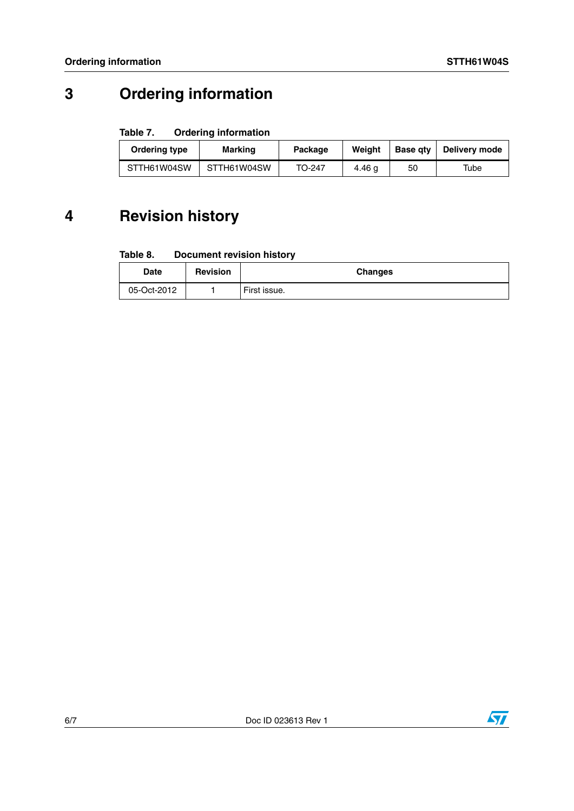## **3 Ordering information**

#### Table 7. **Ordering information**

| Ordering type | <b>Marking</b> | Package | Weiaht | <b>Base gtv</b> | Delivery mode |
|---------------|----------------|---------|--------|-----------------|---------------|
| STTH61W04SW   | STTH61W04SW    |         | 4.46 g | 50              | Tube          |

## **4 Revision history**

#### Table 8. **Document revision history**

| Date        | <b>Revision</b> | <b>Changes</b> |
|-------------|-----------------|----------------|
| 05-Oct-2012 |                 | First issue.   |